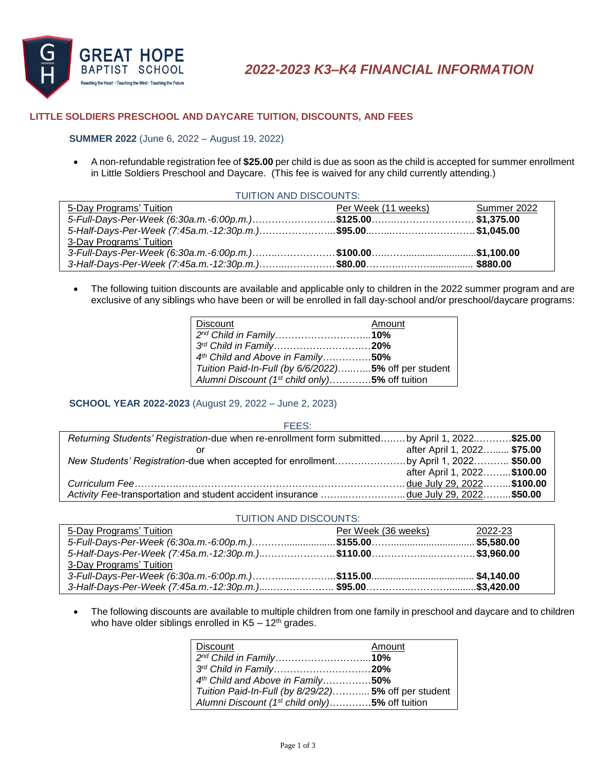

## **LITTLE SOLDIERS PRESCHOOL AND DAYCARE TUITION, DISCOUNTS, AND FEES**

### **SUMMER 2022** (June 6, 2022 – August 19, 2022)

 A non-refundable registration fee of **\$25.00** per child is due as soon as the child is accepted for summer enrollment in Little Soldiers Preschool and Daycare. (This fee is waived for any child currently attending.)

| TUITION AND DISCOUNTS:                                     |                     |             |  |
|------------------------------------------------------------|---------------------|-------------|--|
| 5-Day Programs' Tuition                                    | Per Week (11 weeks) | Summer 2022 |  |
| 5-Full-Days-Per-Week (6:30a.m.-6:00p.m.)\$125.00\$1,375.00 |                     |             |  |
|                                                            |                     |             |  |
| 3-Day Programs' Tuition                                    |                     |             |  |
|                                                            |                     |             |  |
|                                                            |                     |             |  |

 The following tuition discounts are available and applicable only to children in the 2022 summer program and are exclusive of any siblings who have been or will be enrolled in fall day-school and/or preschool/daycare programs:

| <b>Discount</b>                                            | Amount |
|------------------------------------------------------------|--------|
| 2 <sup>nd</sup> Child in Family10%                         |        |
| 3rd Child in Family20%                                     |        |
| 4th Child and Above in Family50%                           |        |
| Tuition Paid-In-Full (by 6/6/2022) 5% off per student      |        |
| Alumni Discount (1 <sup>st</sup> child only)5% off tuition |        |

## **SCHOOL YEAR 2022-2023** (August 29, 2022 – June 2, 2023)

| FEES:                                                                                          |                              |
|------------------------------------------------------------------------------------------------|------------------------------|
| Returning Students' Registration-due when re-enrollment form submitted by April 1, 2022\$25.00 |                              |
|                                                                                                | after April 1, 2022 \$75.00  |
| New Students' Registration-due when accepted for enrollmentby April 1, 2022 \$50.00            |                              |
|                                                                                                | after April 1, 2022 \$100.00 |
|                                                                                                |                              |
| Activity Fee-transportation and student accident insurance due July 29, 2022\$50.00            |                              |

#### TUITION AND DISCOUNTS:

| 5-Day Programs' Tuition | Per Week (36 weeks) | 2022-23 |
|-------------------------|---------------------|---------|
|                         |                     |         |
|                         |                     |         |
| 3-Day Programs' Tuition |                     |         |
|                         |                     |         |
|                         |                     |         |

• The following discounts are available to multiple children from one family in preschool and daycare and to children who have older siblings enrolled in  $K5 - 12$ <sup>th</sup> grades.

| <b>Discount</b>                                            | Amount |
|------------------------------------------------------------|--------|
| 2nd Child in Family10%                                     |        |
| 3rd Child in Family20%                                     |        |
| 4th Child and Above in Family50%                           |        |
| Tuition Paid-In-Full (by 8/29/22) 5% off per student       |        |
| Alumni Discount (1 <sup>st</sup> child only)5% off tuition |        |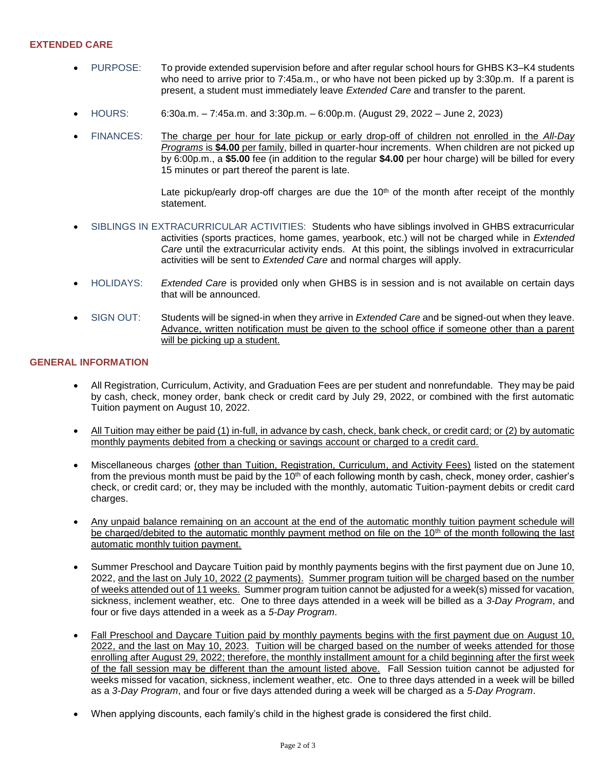# **EXTENDED CARE**

- PURPOSE: To provide extended supervision before and after regular school hours for GHBS K3–K4 students who need to arrive prior to 7:45a.m., or who have not been picked up by 3:30p.m. If a parent is present, a student must immediately leave *Extended Care* and transfer to the parent.
- HOURS: 6:30a.m. 7:45a.m. and 3:30p.m. 6:00p.m. (August 29, 2022 June 2, 2023)
- FINANCES: The charge per hour for late pickup or early drop-off of children not enrolled in the *All-Day Programs* is **\$4.00** per family, billed in quarter-hour increments. When children are not picked up by 6:00p.m., a **\$5.00** fee (in addition to the regular **\$4.00** per hour charge) will be billed for every 15 minutes or part thereof the parent is late.

Late pickup/early drop-off charges are due the  $10<sup>th</sup>$  of the month after receipt of the monthly statement.

- SIBLINGS IN EXTRACURRICULAR ACTIVITIES: Students who have siblings involved in GHBS extracurricular activities (sports practices, home games, yearbook, etc.) will not be charged while in *Extended Care* until the extracurricular activity ends. At this point, the siblings involved in extracurricular activities will be sent to *Extended Care* and normal charges will apply.
- HOLIDAYS: *Extended Care* is provided only when GHBS is in session and is not available on certain days that will be announced.
- SIGN OUT: Students will be signed-in when they arrive in *Extended Care* and be signed-out when they leave. Advance, written notification must be given to the school office if someone other than a parent will be picking up a student.

## **GENERAL INFORMATION**

- All Registration, Curriculum, Activity, and Graduation Fees are per student and nonrefundable. They may be paid by cash, check, money order, bank check or credit card by July 29, 2022, or combined with the first automatic Tuition payment on August 10, 2022.
- All Tuition may either be paid (1) in-full, in advance by cash, check, bank check, or credit card; or (2) by automatic monthly payments debited from a checking or savings account or charged to a credit card.
- Miscellaneous charges (other than Tuition, Registration, Curriculum, and Activity Fees) listed on the statement from the previous month must be paid by the 10<sup>th</sup> of each following month by cash, check, money order, cashier's check, or credit card; or, they may be included with the monthly, automatic Tuition-payment debits or credit card charges.
- Any unpaid balance remaining on an account at the end of the automatic monthly tuition payment schedule will be charged/debited to the automatic monthly payment method on file on the 10<sup>th</sup> of the month following the last automatic monthly tuition payment.
- Summer Preschool and Daycare Tuition paid by monthly payments begins with the first payment due on June 10, 2022, and the last on July 10, 2022 (2 payments). Summer program tuition will be charged based on the number of weeks attended out of 11 weeks. Summer program tuition cannot be adjusted for a week(s) missed for vacation, sickness, inclement weather, etc. One to three days attended in a week will be billed as a *3-Day Program*, and four or five days attended in a week as a *5-Day Program*.
- Fall Preschool and Daycare Tuition paid by monthly payments begins with the first payment due on August 10, 2022, and the last on May 10, 2023. Tuition will be charged based on the number of weeks attended for those enrolling after August 29, 2022; therefore, the monthly installment amount for a child beginning after the first week of the fall session may be different than the amount listed above. Fall Session tuition cannot be adjusted for weeks missed for vacation, sickness, inclement weather, etc. One to three days attended in a week will be billed as a *3-Day Program*, and four or five days attended during a week will be charged as a *5-Day Program*.
- When applying discounts, each family's child in the highest grade is considered the first child.